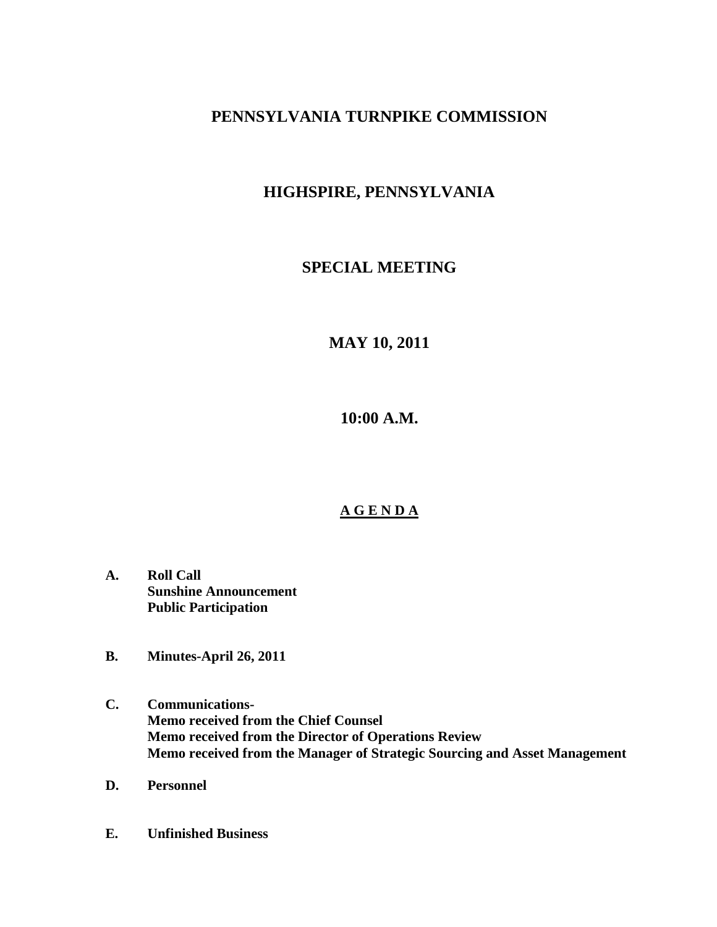## **PENNSYLVANIA TURNPIKE COMMISSION**

## **HIGHSPIRE, PENNSYLVANIA**

### **SPECIAL MEETING**

# **MAY 10, 2011**

**10:00 A.M.**

### **A G E N D A**

- **A. Roll Call Sunshine Announcement Public Participation**
- **B. Minutes-April 26, 2011**
- **C. Communications-Memo received from the Chief Counsel Memo received from the Director of Operations Review Memo received from the Manager of Strategic Sourcing and Asset Management**
- **D. Personnel**
- **E. Unfinished Business**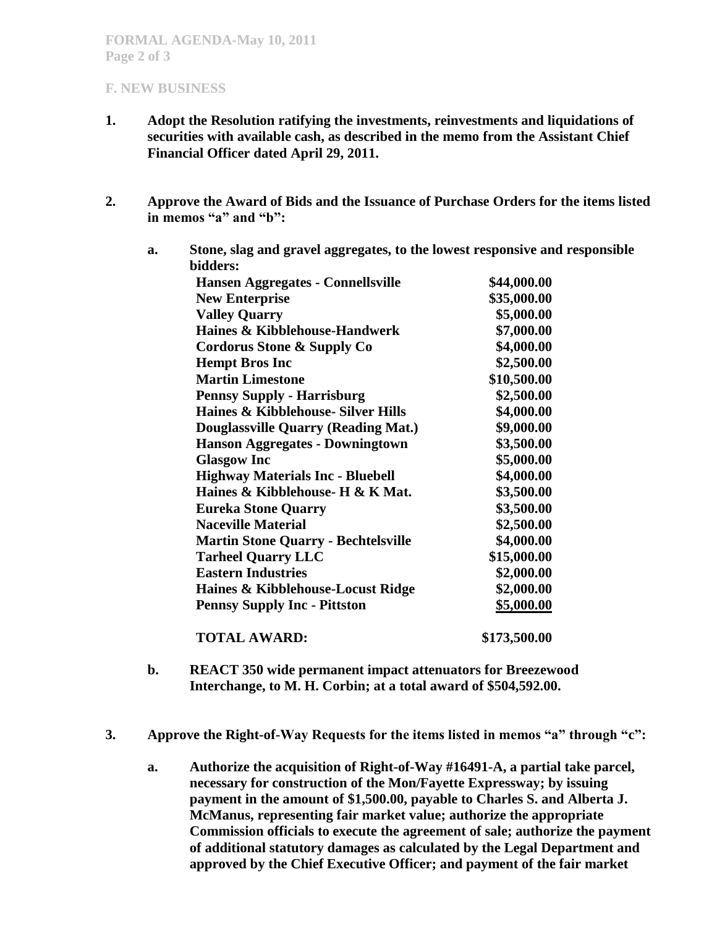#### **F. NEW BUSINESS**

- **1. Adopt the Resolution ratifying the investments, reinvestments and liquidations of securities with available cash, as described in the memo from the Assistant Chief Financial Officer dated April 29, 2011.**
- **2. Approve the Award of Bids and the Issuance of Purchase Orders for the items listed in memos "a" and "b":**
	- **a. Stone, slag and gravel aggregates, to the lowest responsive and responsible bidders: Hansen Aggregates - Connellsville \$44,000.00 New Enterprise \$35,000.00 Valley Quarry \$5,000.00 Haines & Kibblehouse-Handwerk \$7,000.00 Cordorus Stone & Supply Co \$4,000.00 Hempt Bros Inc \$2,500.00 Martin Limestone \$10,500.00 Pennsy Supply - Harrisburg \$2,500.00 Haines & Kibblehouse- Silver Hills \$4,000.00 Douglassville Quarry (Reading Mat.) \$9,000.00 Hanson Aggregates - Downingtown \$3,500.00** Glasgow Inc **\$5,000.00 Highway Materials Inc - Bluebell \$4,000.00 Haines & Kibblehouse- H & K Mat. \$3,500.00 Eureka Stone Quarry \$3,500.00 Naceville Material \$2,500.00 Martin Stone Quarry - Bechtelsville \$4,000.00 Tarheel Quarry LLC \$15,000.00 Eastern Industries \$2,000.00 Haines & Kibblehouse-Locust Ridge \$2,000.00 Pennsy Supply Inc - Pittston \$5,000.00**

**TOTAL AWARD: \$173,500.00**

- **b. REACT 350 wide permanent impact attenuators for Breezewood Interchange, to M. H. Corbin; at a total award of \$504,592.00.**
- **3. Approve the Right-of-Way Requests for the items listed in memos "a" through "c":**
	- **a. Authorize the acquisition of Right-of-Way #16491-A, a partial take parcel, necessary for construction of the Mon/Fayette Expressway; by issuing payment in the amount of \$1,500.00, payable to Charles S. and Alberta J. McManus, representing fair market value; authorize the appropriate Commission officials to execute the agreement of sale; authorize the payment of additional statutory damages as calculated by the Legal Department and approved by the Chief Executive Officer; and payment of the fair market**